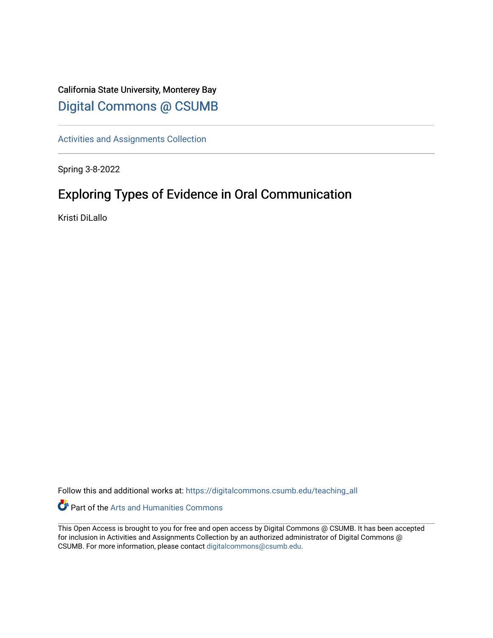## California State University, Monterey Bay [Digital Commons @ CSUMB](https://digitalcommons.csumb.edu/)

[Activities and Assignments Collection](https://digitalcommons.csumb.edu/teaching_all) 

Spring 3-8-2022

# Exploring Types of Evidence in Oral Communication

Kristi DiLallo

Follow this and additional works at: [https://digitalcommons.csumb.edu/teaching\\_all](https://digitalcommons.csumb.edu/teaching_all?utm_source=digitalcommons.csumb.edu%2Fteaching_all%2F12&utm_medium=PDF&utm_campaign=PDFCoverPages) 

Part of the [Arts and Humanities Commons](http://network.bepress.com/hgg/discipline/438?utm_source=digitalcommons.csumb.edu%2Fteaching_all%2F12&utm_medium=PDF&utm_campaign=PDFCoverPages) 

This Open Access is brought to you for free and open access by Digital Commons @ CSUMB. It has been accepted for inclusion in Activities and Assignments Collection by an authorized administrator of Digital Commons @ CSUMB. For more information, please contact [digitalcommons@csumb.edu](mailto:digitalcommons@csumb.edu).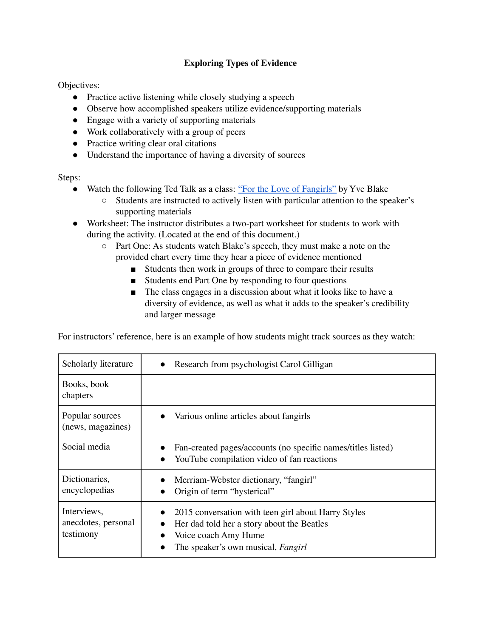## **Exploring Types of Evidence**

Objectives:

- Practice active listening while closely studying a speech
- Observe how accomplished speakers utilize evidence/supporting materials
- Engage with a variety of supporting materials
- Work collaboratively with a group of peers
- Practice writing clear oral citations
- Understand the importance of having a diversity of sources

Steps:

- Watch the following Ted Talk as a class: "For the Love of [Fangirls"](https://www.ted.com/talks/yve_blake_for_the_love_of_fangirls?language=en) by Yve Blake
	- Students are instructed to actively listen with particular attention to the speaker's supporting materials
- Worksheet: The instructor distributes a two-part worksheet for students to work with during the activity. (Located at the end of this document.)
	- Part One: As students watch Blake's speech, they must make a note on the provided chart every time they hear a piece of evidence mentioned
		- Students then work in groups of three to compare their results
		- Students end Part One by responding to four questions
		- The class engages in a discussion about what it looks like to have a diversity of evidence, as well as what it adds to the speaker's credibility and larger message

For instructors' reference, here is an example of how students might track sources as they watch:

| Scholarly literature                            | Research from psychologist Carol Gilligan                                                                                                                              |
|-------------------------------------------------|------------------------------------------------------------------------------------------------------------------------------------------------------------------------|
| Books, book<br>chapters                         |                                                                                                                                                                        |
| Popular sources<br>(news, magazines)            | Various online articles about fangirls                                                                                                                                 |
| Social media                                    | Fan-created pages/accounts (no specific names/titles listed)<br>YouTube compilation video of fan reactions                                                             |
| Dictionaries,<br>encyclopedias                  | Merriam-Webster dictionary, "fangirl"<br>Origin of term "hysterical"                                                                                                   |
| Interviews,<br>anecdotes, personal<br>testimony | 2015 conversation with teen girl about Harry Styles<br>Her dad told her a story about the Beatles<br>Voice coach Amy Hume<br>The speaker's own musical, <i>Fangirl</i> |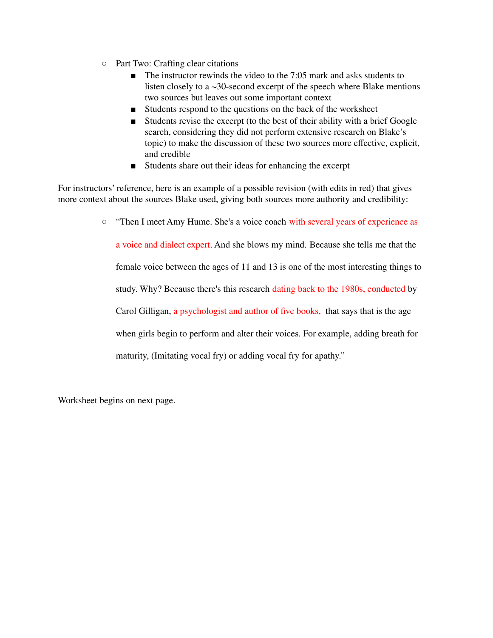- Part Two: Crafting clear citations
	- The instructor rewinds the video to the 7:05 mark and asks students to listen closely to a  $\sim$ 30-second excerpt of the speech where Blake mentions two sources but leaves out some important context
	- Students respond to the questions on the back of the worksheet
	- Students revise the excerpt (to the best of their ability with a brief Google search, considering they did not perform extensive research on Blake's topic) to make the discussion of these two sources more effective, explicit, and credible
	- Students share out their ideas for enhancing the excerpt

For instructors' reference, here is an example of a possible revision (with edits in red) that gives more context about the sources Blake used, giving both sources more authority and credibility:

> ○ "Then I meet Amy Hume. She's a voice coach with several years of experience as a voice and dialect expert. And she blows my mind. Because she tells me that the female voice between the ages of 11 and 13 is one of the most interesting things to study. Why? Because there's this research dating back to the 1980s, conducted by

Carol Gilligan, a psychologist and author of five books, that says that is the age

when girls begin to perform and alter their voices. For example, adding breath for

maturity, (Imitating vocal fry) or adding vocal fry for apathy."

Worksheet begins on next page.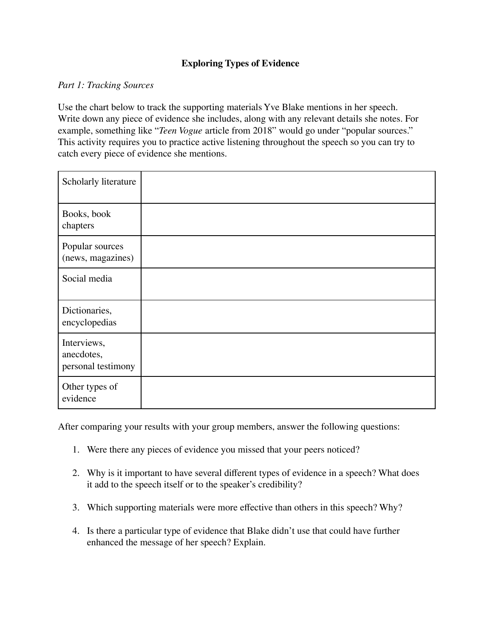## **Exploring Types of Evidence**

### *Part 1: Tracking Sources*

Use the chart below to track the supporting materials Yve Blake mentions in her speech. Write down any piece of evidence she includes, along with any relevant details she notes. For example, something like "*Teen Vogue* article from 2018" would go under "popular sources." This activity requires you to practice active listening throughout the speech so you can try to catch every piece of evidence she mentions.

| Scholarly literature                            |  |
|-------------------------------------------------|--|
| Books, book<br>chapters                         |  |
| Popular sources<br>(news, magazines)            |  |
| Social media                                    |  |
| Dictionaries,<br>encyclopedias                  |  |
| Interviews,<br>anecdotes,<br>personal testimony |  |
| Other types of<br>evidence                      |  |

After comparing your results with your group members, answer the following questions:

- 1. Were there any pieces of evidence you missed that your peers noticed?
- 2. Why is it important to have several different types of evidence in a speech? What does it add to the speech itself or to the speaker's credibility?
- 3. Which supporting materials were more effective than others in this speech? Why?
- 4. Is there a particular type of evidence that Blake didn't use that could have further enhanced the message of her speech? Explain.